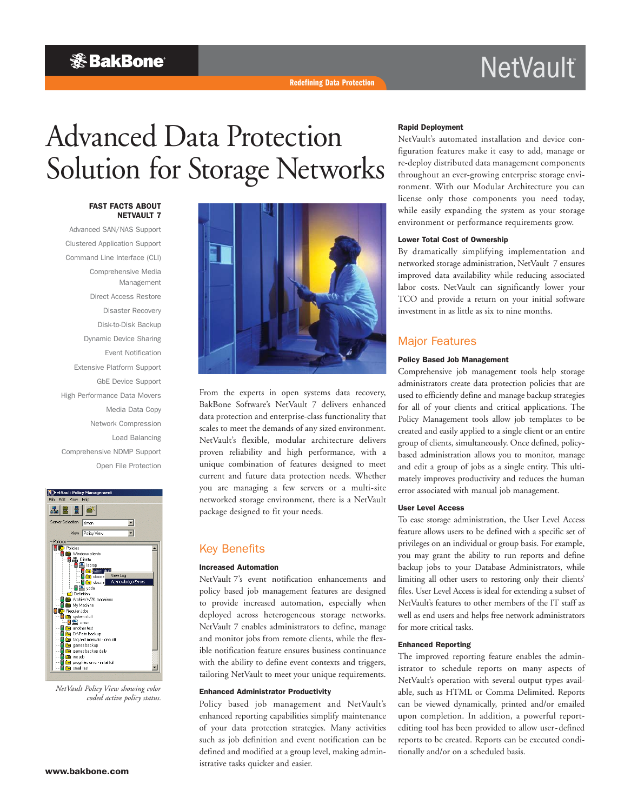### **& BakBone**

## **NetVault**

# Advanced Data Protection Solution for Storage Networks

#### FAST FACTS ABOUT NETVAULT 7

Advanced SAN/NAS Support Clustered Application Support Command Line Interface (CLI) Comprehensive Media Management Direct Access Restore Disaster Recovery Disk-to-Disk Backup Dynamic Device Sharing Event Notification Extensive Platform Support GbE Device Support High Performance Data Movers Media Data Copy Network Compression Load Balancing Comprehensive NDMP Support Open File Protection



*NetVault Policy View showing color coded active policy status.*



From the experts in open systems data recovery, BakBone Software's NetVault 7 delivers enhanced data protection and enterprise-class functionality that scales to meet the demands of any sized environment. NetVault's flexible, modular architecture delivers proven reliability and high performance, with a unique combination of features designed to meet current and future data protection needs. Whether you are managing a few servers or a multi-site networked storage environment, there is a NetVault package designed to fit your needs.

#### Key Benefits

#### Increased Automation

NetVault 7's event notification enhancements and policy based job management features are designed to provide increased automation, especially when deployed across heterogeneous storage networks. NetVault 7 enables administrators to define, manage and monitor jobs from remote clients, while the flexible notification feature ensures business continuance with the ability to define event contexts and triggers, tailoring NetVault to meet your unique requirements.

#### Enhanced Administrator Productivity

Policy based job management and NetVault's enhanced reporting capabilities simplify maintenance of your data protection strategies. Many activities such as job definition and event notification can be defined and modified at a group level, making administrative tasks quicker and easier.

#### Rapid Deployment

NetVault's automated installation and device configuration features make it easy to add, manage or re-deploy distributed data management components throughout an ever-growing enterprise storage environment. With our Modular Architecture you can license only those components you need today, while easily expanding the system as your storage environment or performance requirements grow.

#### Lower Total Cost of Ownership

By dramatically simplifying implementation and networked storage administration, NetVault 7 ensures improved data availability while reducing associated labor costs. NetVault can significantly lower your TCO and provide a return on your initial software investment in as little as six to nine months.

#### Major Features

#### Policy Based Job Management

Comprehensive job management tools help storage administrators create data protection policies that are used to efficiently define and manage backup strategies for all of your clients and critical applications. The Policy Management tools allow job templates to be created and easily applied to a single client or an entire group of clients, simultaneously. Once defined, policybased administration allows you to monitor, manage and edit a group of jobs as a single entity. This ultimately improves productivity and reduces the human error associated with manual job management.

#### User Level Access

To ease storage administration, the User Level Access feature allows users to be defined with a specific set of privileges on an individual or group basis. For example, you may grant the ability to run reports and define backup jobs to your Database Administrators, while limiting all other users to restoring only their clients' files. User Level Access is ideal for extending a subset of NetVault's features to other members of the IT staff as well as end users and helps free network administrators for more critical tasks.

#### Enhanced Reporting

The improved reporting feature enables the administrator to schedule reports on many aspects of NetVault's operation with several output types available, such as HTML or Comma Delimited. Reports can be viewed dynamically, printed and/or emailed upon completion. In addition, a powerful reportediting tool has been provided to allow user-defined reports to be created. Reports can be executed conditionally and/or on a scheduled basis.